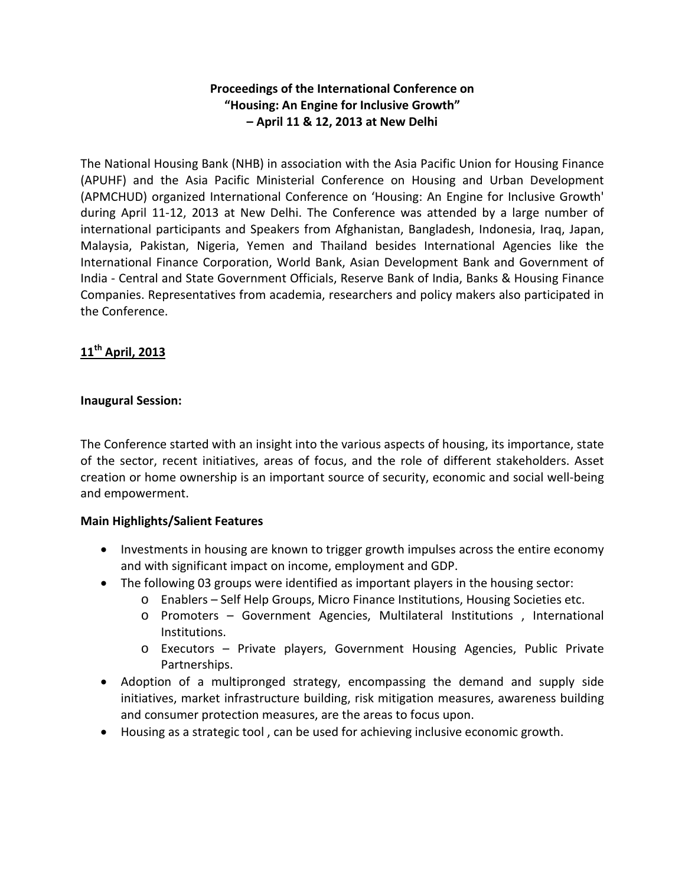# **Proceedings of the International Conference on "Housing: An Engine for Inclusive Growth" – April 11 & 12, 2013 at New Delhi**

The National Housing Bank (NHB) in association with the Asia Pacific Union for Housing Finance (APUHF) and the Asia Pacific Ministerial Conference on Housing and Urban Development (APMCHUD) organized International Conference on 'Housing: An Engine for Inclusive Growth' during April 11-12, 2013 at New Delhi. The Conference was attended by a large number of international participants and Speakers from Afghanistan, Bangladesh, Indonesia, Iraq, Japan, Malaysia, Pakistan, Nigeria, Yemen and Thailand besides International Agencies like the International Finance Corporation, World Bank, Asian Development Bank and Government of India - Central and State Government Officials, Reserve Bank of India, Banks & Housing Finance Companies. Representatives from academia, researchers and policy makers also participated in the Conference.

# **11th April, 2013**

### **Inaugural Session:**

The Conference started with an insight into the various aspects of housing, its importance, state of the sector, recent initiatives, areas of focus, and the role of different stakeholders. Asset creation or home ownership is an important source of security, economic and social well-being and empowerment.

### **Main Highlights/Salient Features**

- Investments in housing are known to trigger growth impulses across the entire economy and with significant impact on income, employment and GDP.
- The following 03 groups were identified as important players in the housing sector:
	- o Enablers Self Help Groups, Micro Finance Institutions, Housing Societies etc.
	- o Promoters Government Agencies, Multilateral Institutions , International Institutions.
	- o Executors Private players, Government Housing Agencies, Public Private Partnerships.
- Adoption of a multipronged strategy, encompassing the demand and supply side initiatives, market infrastructure building, risk mitigation measures, awareness building and consumer protection measures, are the areas to focus upon.
- Housing as a strategic tool , can be used for achieving inclusive economic growth.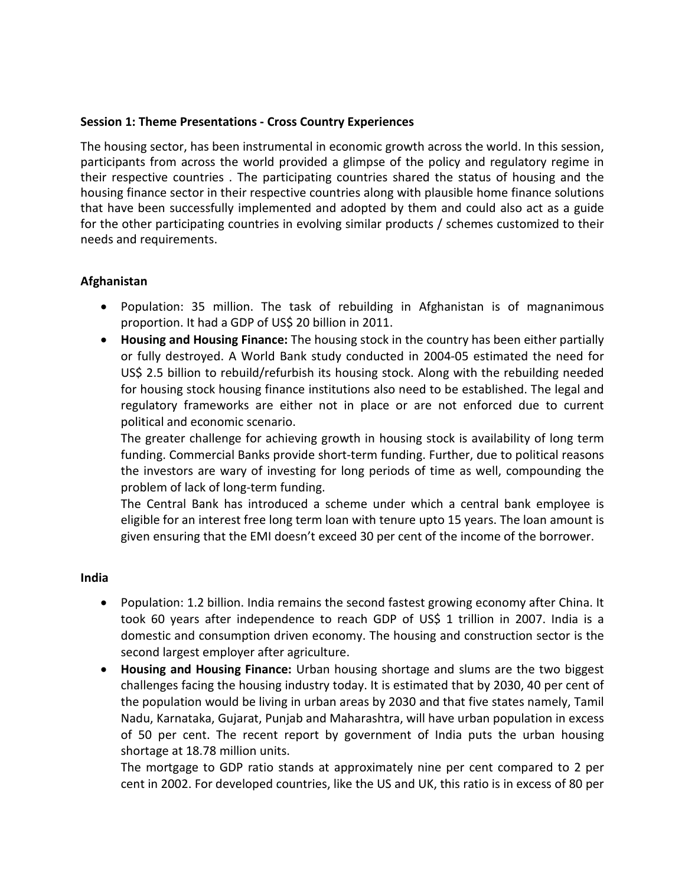#### **Session 1: Theme Presentations - Cross Country Experiences**

The housing sector, has been instrumental in economic growth across the world. In this session, participants from across the world provided a glimpse of the policy and regulatory regime in their respective countries . The participating countries shared the status of housing and the housing finance sector in their respective countries along with plausible home finance solutions that have been successfully implemented and adopted by them and could also act as a guide for the other participating countries in evolving similar products / schemes customized to their needs and requirements.

#### **Afghanistan**

- Population: 35 million. The task of rebuilding in Afghanistan is of magnanimous proportion. It had a GDP of US\$ 20 billion in 2011.
- **Housing and Housing Finance:** The housing stock in the country has been either partially or fully destroyed. A World Bank study conducted in 2004-05 estimated the need for US\$ 2.5 billion to rebuild/refurbish its housing stock. Along with the rebuilding needed for housing stock housing finance institutions also need to be established. The legal and regulatory frameworks are either not in place or are not enforced due to current political and economic scenario.

The greater challenge for achieving growth in housing stock is availability of long term funding. Commercial Banks provide short-term funding. Further, due to political reasons the investors are wary of investing for long periods of time as well, compounding the problem of lack of long-term funding.

The Central Bank has introduced a scheme under which a central bank employee is eligible for an interest free long term loan with tenure upto 15 years. The loan amount is given ensuring that the EMI doesn't exceed 30 per cent of the income of the borrower.

#### **India**

- Population: 1.2 billion. India remains the second fastest growing economy after China. It took 60 years after independence to reach GDP of US\$ 1 trillion in 2007. India is a domestic and consumption driven economy. The housing and construction sector is the second largest employer after agriculture.
- **Housing and Housing Finance:** Urban housing shortage and slums are the two biggest challenges facing the housing industry today. It is estimated that by 2030, 40 per cent of the population would be living in urban areas by 2030 and that five states namely, Tamil Nadu, Karnataka, Gujarat, Punjab and Maharashtra, will have urban population in excess of 50 per cent. The recent report by government of India puts the urban housing shortage at 18.78 million units.

The mortgage to GDP ratio stands at approximately nine per cent compared to 2 per cent in 2002. For developed countries, like the US and UK, this ratio is in excess of 80 per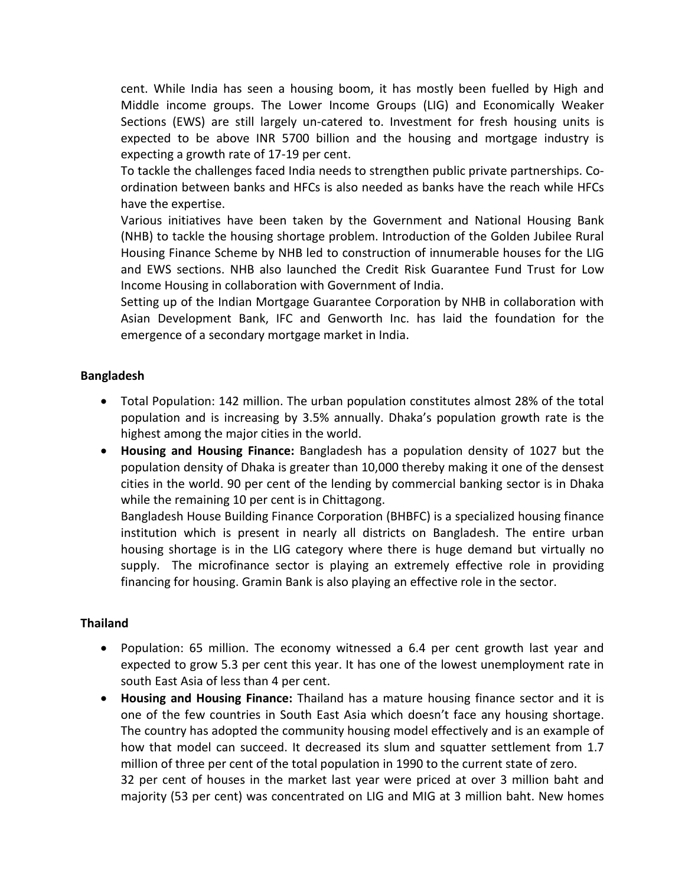cent. While India has seen a housing boom, it has mostly been fuelled by High and Middle income groups. The Lower Income Groups (LIG) and Economically Weaker Sections (EWS) are still largely un-catered to. Investment for fresh housing units is expected to be above INR 5700 billion and the housing and mortgage industry is expecting a growth rate of 17-19 per cent.

To tackle the challenges faced India needs to strengthen public private partnerships. Coordination between banks and HFCs is also needed as banks have the reach while HFCs have the expertise.

Various initiatives have been taken by the Government and National Housing Bank (NHB) to tackle the housing shortage problem. Introduction of the Golden Jubilee Rural Housing Finance Scheme by NHB led to construction of innumerable houses for the LIG and EWS sections. NHB also launched the Credit Risk Guarantee Fund Trust for Low Income Housing in collaboration with Government of India.

Setting up of the Indian Mortgage Guarantee Corporation by NHB in collaboration with Asian Development Bank, IFC and Genworth Inc. has laid the foundation for the emergence of a secondary mortgage market in India.

# **Bangladesh**

- Total Population: 142 million. The urban population constitutes almost 28% of the total population and is increasing by 3.5% annually. Dhaka's population growth rate is the highest among the major cities in the world.
- **Housing and Housing Finance:** Bangladesh has a population density of 1027 but the population density of Dhaka is greater than 10,000 thereby making it one of the densest cities in the world. 90 per cent of the lending by commercial banking sector is in Dhaka while the remaining 10 per cent is in Chittagong.

Bangladesh House Building Finance Corporation (BHBFC) is a specialized housing finance institution which is present in nearly all districts on Bangladesh. The entire urban housing shortage is in the LIG category where there is huge demand but virtually no supply. The microfinance sector is playing an extremely effective role in providing financing for housing. Gramin Bank is also playing an effective role in the sector.

### **Thailand**

- Population: 65 million. The economy witnessed a 6.4 per cent growth last year and expected to grow 5.3 per cent this year. It has one of the lowest unemployment rate in south East Asia of less than 4 per cent.
- **Housing and Housing Finance:** Thailand has a mature housing finance sector and it is one of the few countries in South East Asia which doesn't face any housing shortage. The country has adopted the community housing model effectively and is an example of how that model can succeed. It decreased its slum and squatter settlement from 1.7 million of three per cent of the total population in 1990 to the current state of zero. 32 per cent of houses in the market last year were priced at over 3 million baht and majority (53 per cent) was concentrated on LIG and MIG at 3 million baht. New homes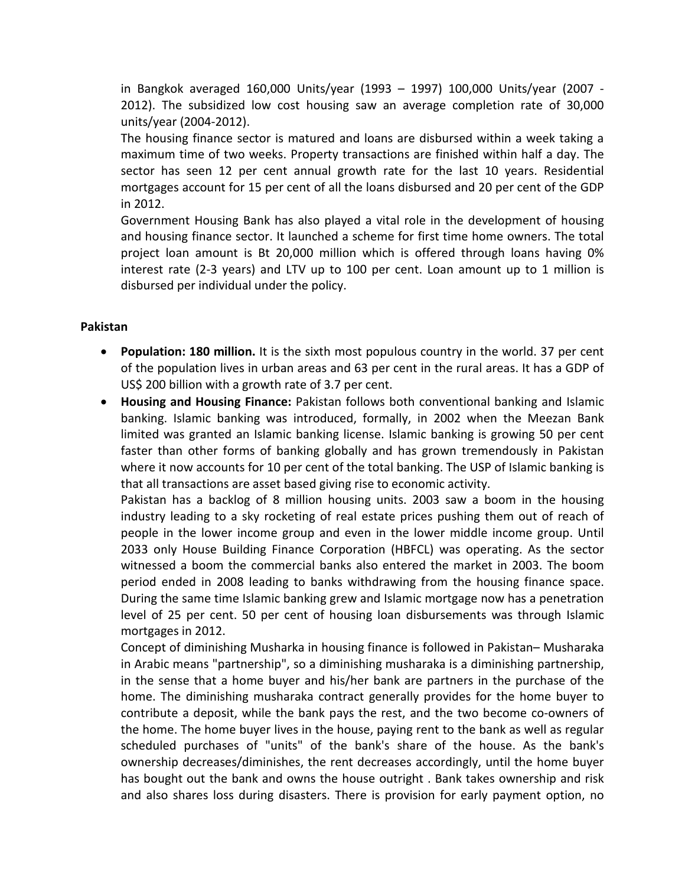in Bangkok averaged 160,000 Units/year (1993 – 1997) 100,000 Units/year (2007 - 2012). The subsidized low cost housing saw an average completion rate of 30,000 units/year (2004-2012).

The housing finance sector is matured and loans are disbursed within a week taking a maximum time of two weeks. Property transactions are finished within half a day. The sector has seen 12 per cent annual growth rate for the last 10 years. Residential mortgages account for 15 per cent of all the loans disbursed and 20 per cent of the GDP in 2012.

Government Housing Bank has also played a vital role in the development of housing and housing finance sector. It launched a scheme for first time home owners. The total project loan amount is Bt 20,000 million which is offered through loans having 0% interest rate (2-3 years) and LTV up to 100 per cent. Loan amount up to 1 million is disbursed per individual under the policy.

### **Pakistan**

- **Population: 180 million.** It is the sixth most populous country in the world. 37 per cent of the population lives in urban areas and 63 per cent in the rural areas. It has a GDP of US\$ 200 billion with a growth rate of 3.7 per cent.
- **Housing and Housing Finance:** Pakistan follows both conventional banking and Islamic banking. Islamic banking was introduced, formally, in 2002 when the Meezan Bank limited was granted an Islamic banking license. Islamic banking is growing 50 per cent faster than other forms of banking globally and has grown tremendously in Pakistan where it now accounts for 10 per cent of the total banking. The USP of Islamic banking is that all transactions are asset based giving rise to economic activity.

Pakistan has a backlog of 8 million housing units. 2003 saw a boom in the housing industry leading to a sky rocketing of real estate prices pushing them out of reach of people in the lower income group and even in the lower middle income group. Until 2033 only House Building Finance Corporation (HBFCL) was operating. As the sector witnessed a boom the commercial banks also entered the market in 2003. The boom period ended in 2008 leading to banks withdrawing from the housing finance space. During the same time Islamic banking grew and Islamic mortgage now has a penetration level of 25 per cent. 50 per cent of housing loan disbursements was through Islamic mortgages in 2012.

Concept of diminishing Musharka in housing finance is followed in Pakistan– Musharaka in Arabic means "partnership", so a diminishing musharaka is a diminishing partnership, in the sense that a home buyer and his/her bank are partners in the purchase of the home. The diminishing musharaka contract generally provides for the home buyer to contribute a deposit, while the bank pays the rest, and the two become co-owners of the home. The home buyer lives in the house, paying rent to the bank as well as regular scheduled purchases of "units" of the bank's share of the house. As the bank's ownership decreases/diminishes, the rent decreases accordingly, until the home buyer has bought out the bank and owns the house outright . Bank takes ownership and risk and also shares loss during disasters. There is provision for early payment option, no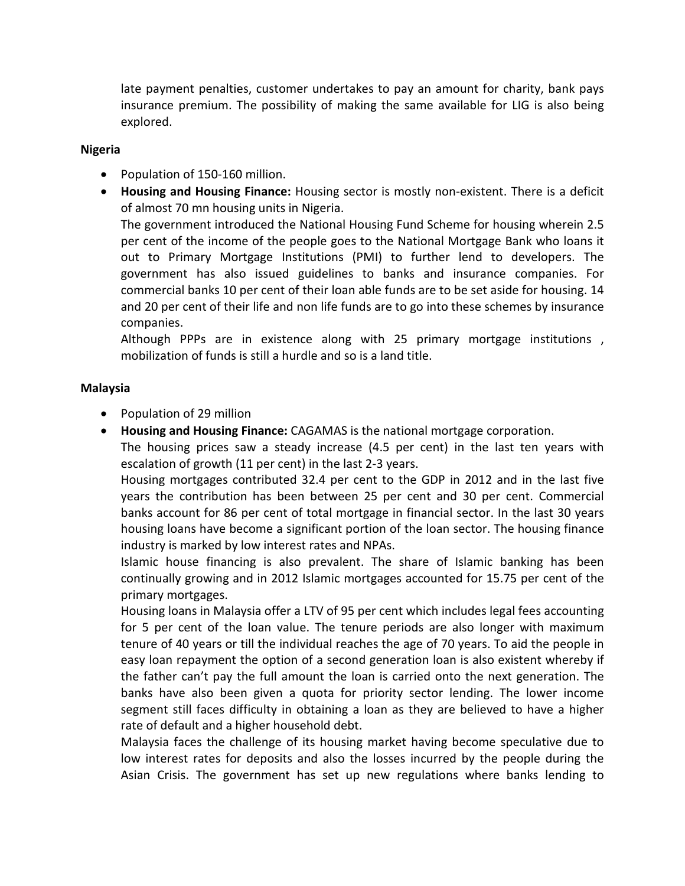late payment penalties, customer undertakes to pay an amount for charity, bank pays insurance premium. The possibility of making the same available for LIG is also being explored.

#### **Nigeria**

- Population of 150-160 million.
- **Housing and Housing Finance:** Housing sector is mostly non-existent. There is a deficit of almost 70 mn housing units in Nigeria.

The government introduced the National Housing Fund Scheme for housing wherein 2.5 per cent of the income of the people goes to the National Mortgage Bank who loans it out to Primary Mortgage Institutions (PMI) to further lend to developers. The government has also issued guidelines to banks and insurance companies. For commercial banks 10 per cent of their loan able funds are to be set aside for housing. 14 and 20 per cent of their life and non life funds are to go into these schemes by insurance companies.

Although PPPs are in existence along with 25 primary mortgage institutions , mobilization of funds is still a hurdle and so is a land title.

### **Malaysia**

- Population of 29 million
- **Housing and Housing Finance:** CAGAMAS is the national mortgage corporation.

The housing prices saw a steady increase (4.5 per cent) in the last ten years with escalation of growth (11 per cent) in the last 2-3 years.

Housing mortgages contributed 32.4 per cent to the GDP in 2012 and in the last five years the contribution has been between 25 per cent and 30 per cent. Commercial banks account for 86 per cent of total mortgage in financial sector. In the last 30 years housing loans have become a significant portion of the loan sector. The housing finance industry is marked by low interest rates and NPAs.

Islamic house financing is also prevalent. The share of Islamic banking has been continually growing and in 2012 Islamic mortgages accounted for 15.75 per cent of the primary mortgages.

Housing loans in Malaysia offer a LTV of 95 per cent which includes legal fees accounting for 5 per cent of the loan value. The tenure periods are also longer with maximum tenure of 40 years or till the individual reaches the age of 70 years. To aid the people in easy loan repayment the option of a second generation loan is also existent whereby if the father can't pay the full amount the loan is carried onto the next generation. The banks have also been given a quota for priority sector lending. The lower income segment still faces difficulty in obtaining a loan as they are believed to have a higher rate of default and a higher household debt.

Malaysia faces the challenge of its housing market having become speculative due to low interest rates for deposits and also the losses incurred by the people during the Asian Crisis. The government has set up new regulations where banks lending to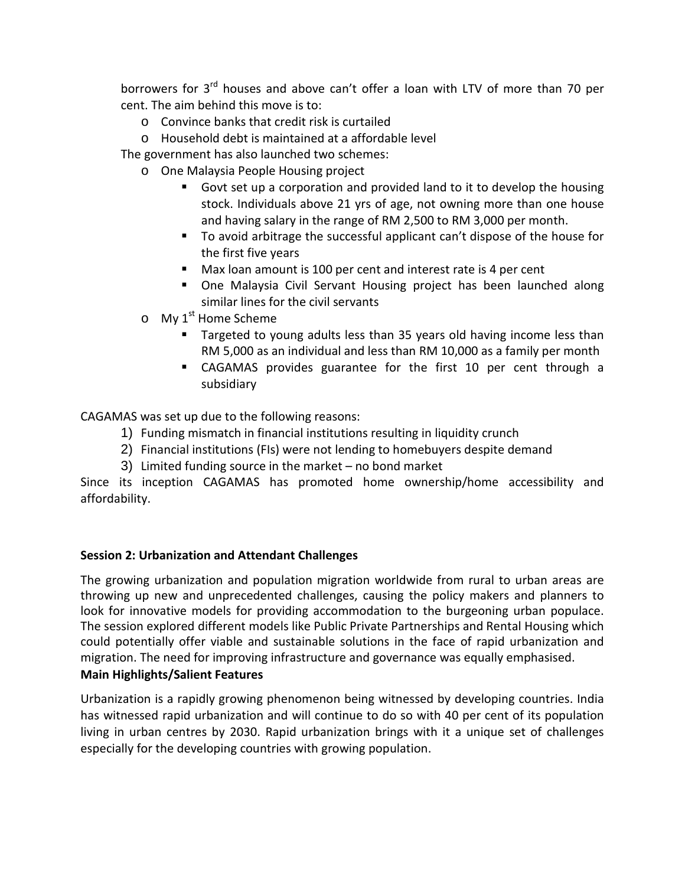borrowers for 3<sup>rd</sup> houses and above can't offer a loan with LTV of more than 70 per cent. The aim behind this move is to:

- o Convince banks that credit risk is curtailed
- o Household debt is maintained at a affordable level

The government has also launched two schemes:

- o One Malaysia People Housing project
	- Govt set up a corporation and provided land to it to develop the housing stock. Individuals above 21 yrs of age, not owning more than one house and having salary in the range of RM 2,500 to RM 3,000 per month.
	- To avoid arbitrage the successful applicant can't dispose of the house for the first five years
	- Max loan amount is 100 per cent and interest rate is 4 per cent
	- One Malaysia Civil Servant Housing project has been launched along similar lines for the civil servants
- $\circ$  My 1<sup>st</sup> Home Scheme
	- Targeted to young adults less than 35 years old having income less than RM 5,000 as an individual and less than RM 10,000 as a family per month
	- CAGAMAS provides guarantee for the first 10 per cent through a subsidiary

CAGAMAS was set up due to the following reasons:

- 1) Funding mismatch in financial institutions resulting in liquidity crunch
- 2) Financial institutions (FIs) were not lending to homebuyers despite demand
- 3) Limited funding source in the market no bond market

Since its inception CAGAMAS has promoted home ownership/home accessibility and affordability.

# **Session 2: Urbanization and Attendant Challenges**

The growing urbanization and population migration worldwide from rural to urban areas are throwing up new and unprecedented challenges, causing the policy makers and planners to look for innovative models for providing accommodation to the burgeoning urban populace. The session explored different models like Public Private Partnerships and Rental Housing which could potentially offer viable and sustainable solutions in the face of rapid urbanization and migration. The need for improving infrastructure and governance was equally emphasised.

### **Main Highlights/Salient Features**

Urbanization is a rapidly growing phenomenon being witnessed by developing countries. India has witnessed rapid urbanization and will continue to do so with 40 per cent of its population living in urban centres by 2030. Rapid urbanization brings with it a unique set of challenges especially for the developing countries with growing population.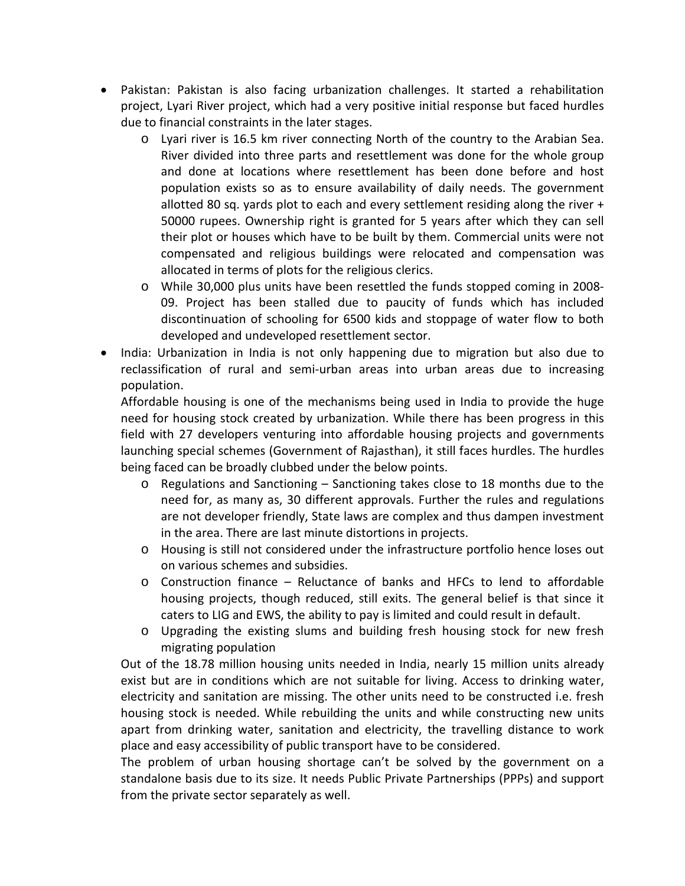- Pakistan: Pakistan is also facing urbanization challenges. It started a rehabilitation project, Lyari River project, which had a very positive initial response but faced hurdles due to financial constraints in the later stages.
	- o Lyari river is 16.5 km river connecting North of the country to the Arabian Sea. River divided into three parts and resettlement was done for the whole group and done at locations where resettlement has been done before and host population exists so as to ensure availability of daily needs. The government allotted 80 sq. yards plot to each and every settlement residing along the river  $+$ 50000 rupees. Ownership right is granted for 5 years after which they can sell their plot or houses which have to be built by them. Commercial units were not compensated and religious buildings were relocated and compensation was allocated in terms of plots for the religious clerics.
	- o While 30,000 plus units have been resettled the funds stopped coming in 2008- 09. Project has been stalled due to paucity of funds which has included discontinuation of schooling for 6500 kids and stoppage of water flow to both developed and undeveloped resettlement sector.
- India: Urbanization in India is not only happening due to migration but also due to reclassification of rural and semi-urban areas into urban areas due to increasing population.

Affordable housing is one of the mechanisms being used in India to provide the huge need for housing stock created by urbanization. While there has been progress in this field with 27 developers venturing into affordable housing projects and governments launching special schemes (Government of Rajasthan), it still faces hurdles. The hurdles being faced can be broadly clubbed under the below points.

- o Regulations and Sanctioning Sanctioning takes close to 18 months due to the need for, as many as, 30 different approvals. Further the rules and regulations are not developer friendly, State laws are complex and thus dampen investment in the area. There are last minute distortions in projects.
- o Housing is still not considered under the infrastructure portfolio hence loses out on various schemes and subsidies.
- o Construction finance Reluctance of banks and HFCs to lend to affordable housing projects, though reduced, still exits. The general belief is that since it caters to LIG and EWS, the ability to pay is limited and could result in default.
- o Upgrading the existing slums and building fresh housing stock for new fresh migrating population

Out of the 18.78 million housing units needed in India, nearly 15 million units already exist but are in conditions which are not suitable for living. Access to drinking water, electricity and sanitation are missing. The other units need to be constructed i.e. fresh housing stock is needed. While rebuilding the units and while constructing new units apart from drinking water, sanitation and electricity, the travelling distance to work place and easy accessibility of public transport have to be considered.

The problem of urban housing shortage can't be solved by the government on a standalone basis due to its size. It needs Public Private Partnerships (PPPs) and support from the private sector separately as well.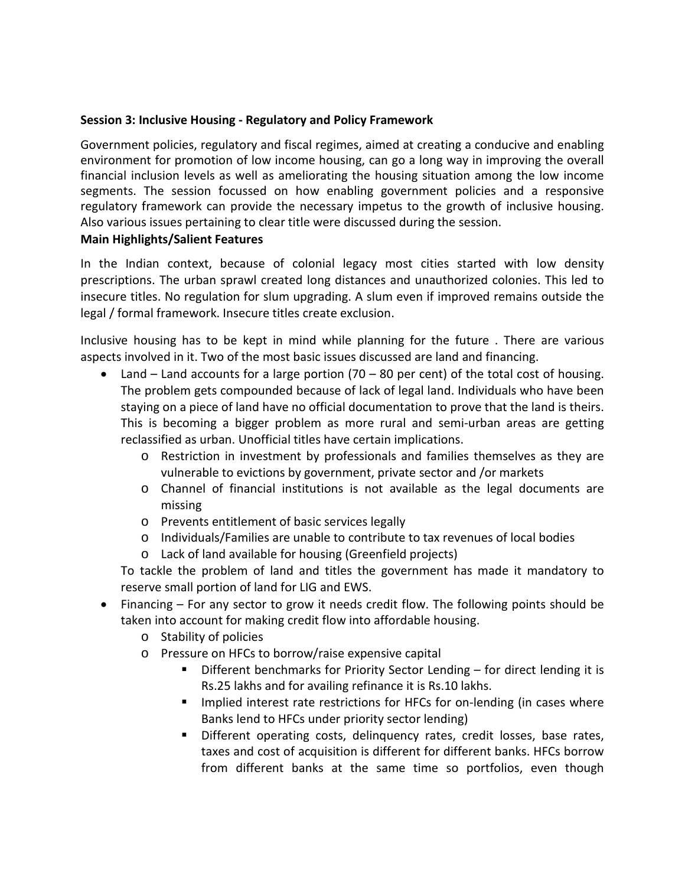### **Session 3: Inclusive Housing - Regulatory and Policy Framework**

Government policies, regulatory and fiscal regimes, aimed at creating a conducive and enabling environment for promotion of low income housing, can go a long way in improving the overall financial inclusion levels as well as ameliorating the housing situation among the low income segments. The session focussed on how enabling government policies and a responsive regulatory framework can provide the necessary impetus to the growth of inclusive housing. Also various issues pertaining to clear title were discussed during the session.

### **Main Highlights/Salient Features**

In the Indian context, because of colonial legacy most cities started with low density prescriptions. The urban sprawl created long distances and unauthorized colonies. This led to insecure titles. No regulation for slum upgrading. A slum even if improved remains outside the legal / formal framework. Insecure titles create exclusion.

Inclusive housing has to be kept in mind while planning for the future . There are various aspects involved in it. Two of the most basic issues discussed are land and financing.

- Land Land accounts for a large portion  $(70 80$  per cent) of the total cost of housing. The problem gets compounded because of lack of legal land. Individuals who have been staying on a piece of land have no official documentation to prove that the land is theirs. This is becoming a bigger problem as more rural and semi-urban areas are getting reclassified as urban. Unofficial titles have certain implications.
	- o Restriction in investment by professionals and families themselves as they are vulnerable to evictions by government, private sector and /or markets
	- o Channel of financial institutions is not available as the legal documents are missing
	- o Prevents entitlement of basic services legally
	- o Individuals/Families are unable to contribute to tax revenues of local bodies
	- o Lack of land available for housing (Greenfield projects)

To tackle the problem of land and titles the government has made it mandatory to reserve small portion of land for LIG and EWS.

- Financing For any sector to grow it needs credit flow. The following points should be taken into account for making credit flow into affordable housing.
	- o Stability of policies
	- o Pressure on HFCs to borrow/raise expensive capital
		- Different benchmarks for Priority Sector Lending for direct lending it is Rs.25 lakhs and for availing refinance it is Rs.10 lakhs.
		- **IMPLE 11.5 Implied interest rate restrictions for HFCs for on-lending (in cases where** Banks lend to HFCs under priority sector lending)
		- Different operating costs, delinquency rates, credit losses, base rates, taxes and cost of acquisition is different for different banks. HFCs borrow from different banks at the same time so portfolios, even though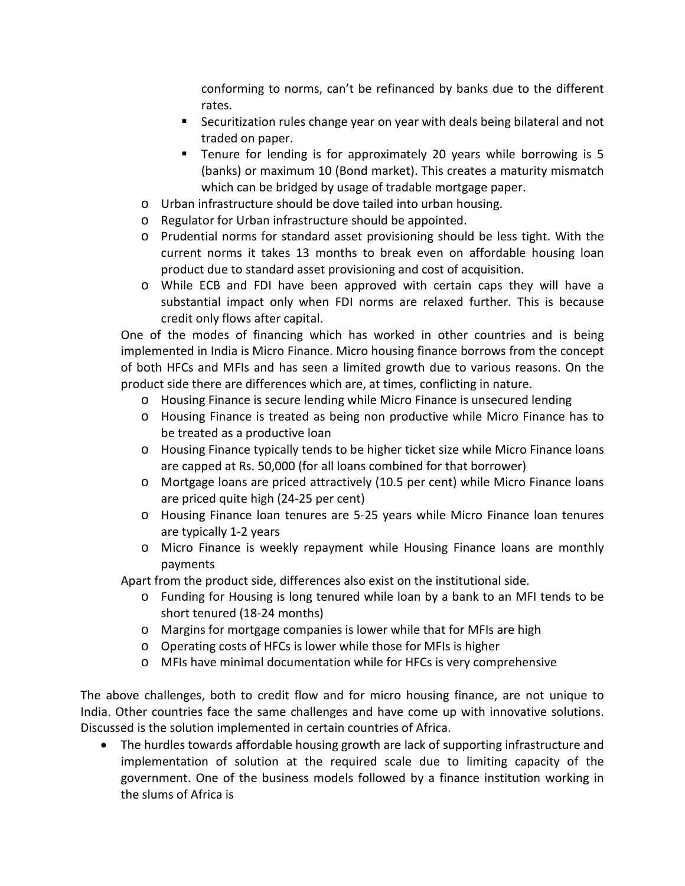conforming to norms, can't be refinanced by banks due to the different rates.

- Securitization rules change year on year with deals being bilateral and not traded on paper.
- Tenure for lending is for approximately 20 years while borrowing is 5 (banks) or maximum 10 (Bond market). This creates a maturity mismatch which can be bridged by usage of tradable mortgage paper.
- o Urban infrastructure should be dove tailed into urban housing.
- o Regulator for Urban infrastructure should be appointed.
- o Prudential norms for standard asset provisioning should be less tight. With the current norms it takes 13 months to break even on affordable housing loan product due to standard asset provisioning and cost of acquisition.
- o While ECB and FDI have been approved with certain caps they will have a substantial impact only when FDI norms are relaxed further. This is because credit only flows after capital.

One of the modes of financing which has worked in other countries and is being implemented in India is Micro Finance. Micro housing finance borrows from the concept of both HFCs and MFIs and has seen a limited growth due to various reasons. On the product side there are differences which are, at times, conflicting in nature.

- o Housing Finance is secure lending while Micro Finance is unsecured lending
- o Housing Finance is treated as being non productive while Micro Finance has to be treated as a productive loan
- o Housing Finance typically tends to be higher ticket size while Micro Finance loans are capped at Rs. 50,000 (for all loans combined for that borrower)
- o Mortgage loans are priced attractively (10.5 per cent) while Micro Finance loans are priced quite high (24-25 per cent)
- o Housing Finance loan tenures are 5-25 years while Micro Finance loan tenures are typically 1-2 years
- o Micro Finance is weekly repayment while Housing Finance loans are monthly payments

Apart from the product side, differences also exist on the institutional side.

- o Funding for Housing is long tenured while loan by a bank to an MFI tends to be short tenured (18-24 months)
- o Margins for mortgage companies is lower while that for MFIs are high
- o Operating costs of HFCs is lower while those for MFIs is higher
- o MFIs have minimal documentation while for HFCs is very comprehensive

The above challenges, both to credit flow and for micro housing finance, are not unique to India. Other countries face the same challenges and have come up with innovative solutions. Discussed is the solution implemented in certain countries of Africa.

• The hurdles towards affordable housing growth are lack of supporting infrastructure and implementation of solution at the required scale due to limiting capacity of the government. One of the business models followed by a finance institution working in the slums of Africa is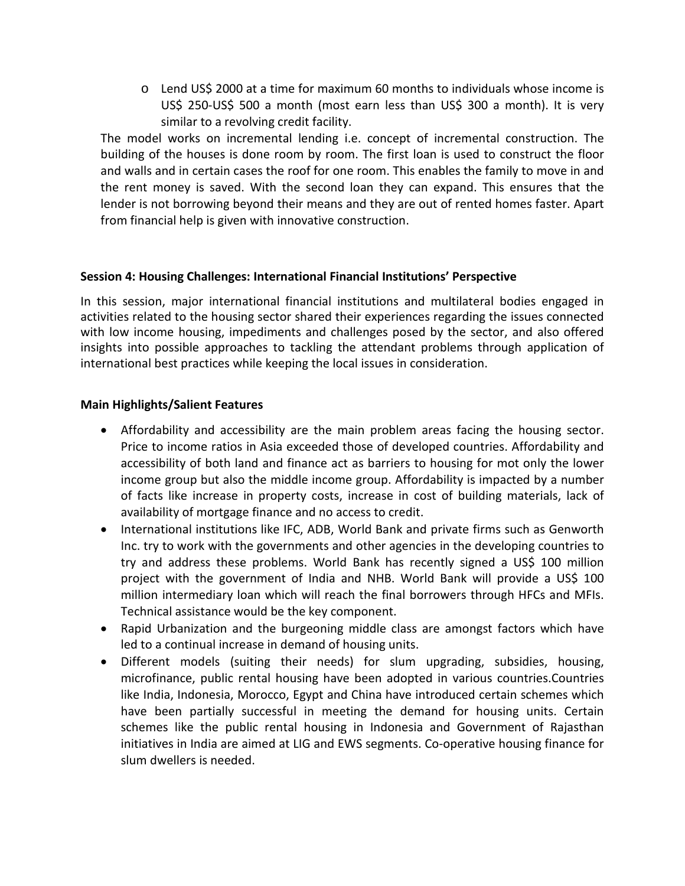o Lend US\$ 2000 at a time for maximum 60 months to individuals whose income is US\$ 250-US\$ 500 a month (most earn less than US\$ 300 a month). It is very similar to a revolving credit facility.

The model works on incremental lending i.e. concept of incremental construction. The building of the houses is done room by room. The first loan is used to construct the floor and walls and in certain cases the roof for one room. This enables the family to move in and the rent money is saved. With the second loan they can expand. This ensures that the lender is not borrowing beyond their means and they are out of rented homes faster. Apart from financial help is given with innovative construction.

### **Session 4: Housing Challenges: International Financial Institutions' Perspective**

In this session, major international financial institutions and multilateral bodies engaged in activities related to the housing sector shared their experiences regarding the issues connected with low income housing, impediments and challenges posed by the sector, and also offered insights into possible approaches to tackling the attendant problems through application of international best practices while keeping the local issues in consideration.

### **Main Highlights/Salient Features**

- Affordability and accessibility are the main problem areas facing the housing sector. Price to income ratios in Asia exceeded those of developed countries. Affordability and accessibility of both land and finance act as barriers to housing for mot only the lower income group but also the middle income group. Affordability is impacted by a number of facts like increase in property costs, increase in cost of building materials, lack of availability of mortgage finance and no access to credit.
- International institutions like IFC, ADB, World Bank and private firms such as Genworth Inc. try to work with the governments and other agencies in the developing countries to try and address these problems. World Bank has recently signed a US\$ 100 million project with the government of India and NHB. World Bank will provide a US\$ 100 million intermediary loan which will reach the final borrowers through HFCs and MFIs. Technical assistance would be the key component.
- Rapid Urbanization and the burgeoning middle class are amongst factors which have led to a continual increase in demand of housing units.
- Different models (suiting their needs) for slum upgrading, subsidies, housing, microfinance, public rental housing have been adopted in various countries.Countries like India, Indonesia, Morocco, Egypt and China have introduced certain schemes which have been partially successful in meeting the demand for housing units. Certain schemes like the public rental housing in Indonesia and Government of Rajasthan initiatives in India are aimed at LIG and EWS segments. Co-operative housing finance for slum dwellers is needed.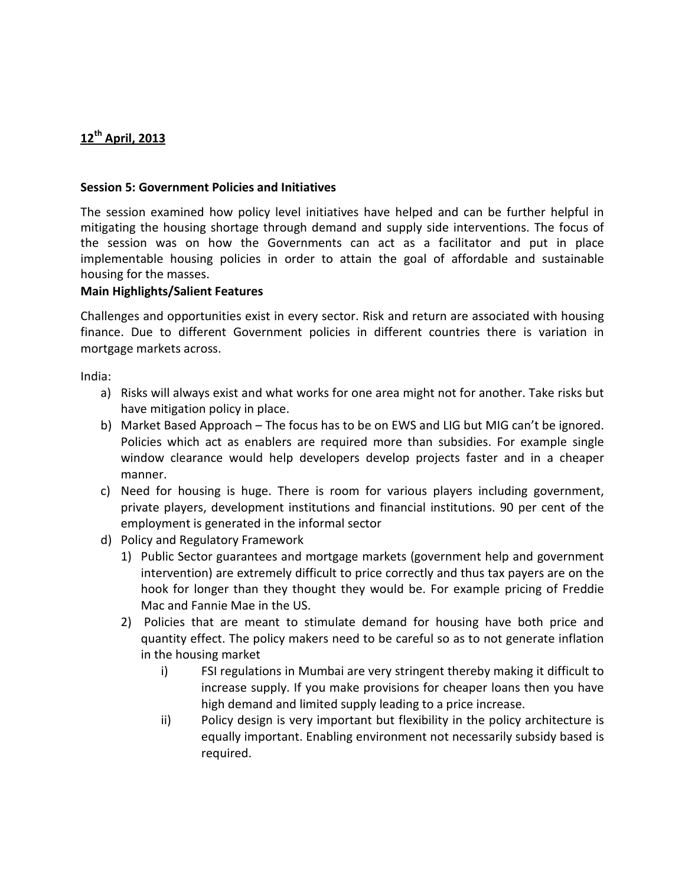# **12th April, 2013**

### **Session 5: Government Policies and Initiatives**

The session examined how policy level initiatives have helped and can be further helpful in mitigating the housing shortage through demand and supply side interventions. The focus of the session was on how the Governments can act as a facilitator and put in place implementable housing policies in order to attain the goal of affordable and sustainable housing for the masses.

### **Main Highlights/Salient Features**

Challenges and opportunities exist in every sector. Risk and return are associated with housing finance. Due to different Government policies in different countries there is variation in mortgage markets across.

India:

- a) Risks will always exist and what works for one area might not for another. Take risks but have mitigation policy in place.
- b) Market Based Approach The focus has to be on EWS and LIG but MIG can't be ignored. Policies which act as enablers are required more than subsidies. For example single window clearance would help developers develop projects faster and in a cheaper manner.
- c) Need for housing is huge. There is room for various players including government, private players, development institutions and financial institutions. 90 per cent of the employment is generated in the informal sector
- d) Policy and Regulatory Framework
	- 1) Public Sector guarantees and mortgage markets (government help and government intervention) are extremely difficult to price correctly and thus tax payers are on the hook for longer than they thought they would be. For example pricing of Freddie Mac and Fannie Mae in the US.
	- 2) Policies that are meant to stimulate demand for housing have both price and quantity effect. The policy makers need to be careful so as to not generate inflation in the housing market
		- i) FSI regulations in Mumbai are very stringent thereby making it difficult to increase supply. If you make provisions for cheaper loans then you have high demand and limited supply leading to a price increase.
		- ii) Policy design is very important but flexibility in the policy architecture is equally important. Enabling environment not necessarily subsidy based is required.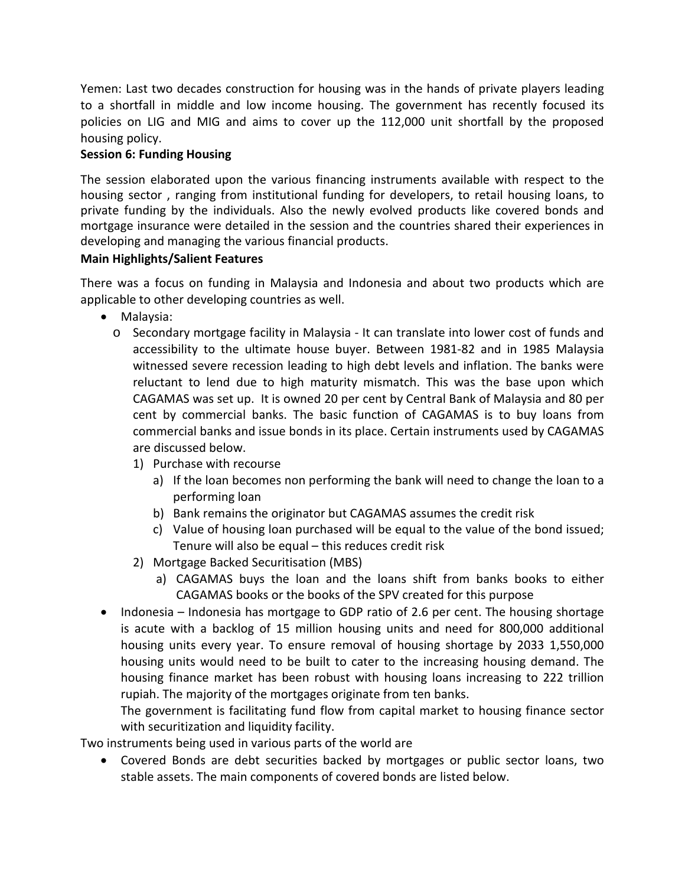Yemen: Last two decades construction for housing was in the hands of private players leading to a shortfall in middle and low income housing. The government has recently focused its policies on LIG and MIG and aims to cover up the 112,000 unit shortfall by the proposed housing policy.

# **Session 6: Funding Housing**

The session elaborated upon the various financing instruments available with respect to the housing sector , ranging from institutional funding for developers, to retail housing loans, to private funding by the individuals. Also the newly evolved products like covered bonds and mortgage insurance were detailed in the session and the countries shared their experiences in developing and managing the various financial products.

# **Main Highlights/Salient Features**

There was a focus on funding in Malaysia and Indonesia and about two products which are applicable to other developing countries as well.

- Malaysia:
	- o Secondary mortgage facility in Malaysia It can translate into lower cost of funds and accessibility to the ultimate house buyer. Between 1981-82 and in 1985 Malaysia witnessed severe recession leading to high debt levels and inflation. The banks were reluctant to lend due to high maturity mismatch. This was the base upon which CAGAMAS was set up. It is owned 20 per cent by Central Bank of Malaysia and 80 per cent by commercial banks. The basic function of CAGAMAS is to buy loans from commercial banks and issue bonds in its place. Certain instruments used by CAGAMAS are discussed below.
		- 1) Purchase with recourse
			- a) If the loan becomes non performing the bank will need to change the loan to a performing loan
			- b) Bank remains the originator but CAGAMAS assumes the credit risk
			- c) Value of housing loan purchased will be equal to the value of the bond issued; Tenure will also be equal – this reduces credit risk
		- 2) Mortgage Backed Securitisation (MBS)
			- a) CAGAMAS buys the loan and the loans shift from banks books to either CAGAMAS books or the books of the SPV created for this purpose
- Indonesia Indonesia has mortgage to GDP ratio of 2.6 per cent. The housing shortage is acute with a backlog of 15 million housing units and need for 800,000 additional housing units every year. To ensure removal of housing shortage by 2033 1,550,000 housing units would need to be built to cater to the increasing housing demand. The housing finance market has been robust with housing loans increasing to 222 trillion rupiah. The majority of the mortgages originate from ten banks.

The government is facilitating fund flow from capital market to housing finance sector with securitization and liquidity facility.

Two instruments being used in various parts of the world are

• Covered Bonds are debt securities backed by mortgages or public sector loans, two stable assets. The main components of covered bonds are listed below.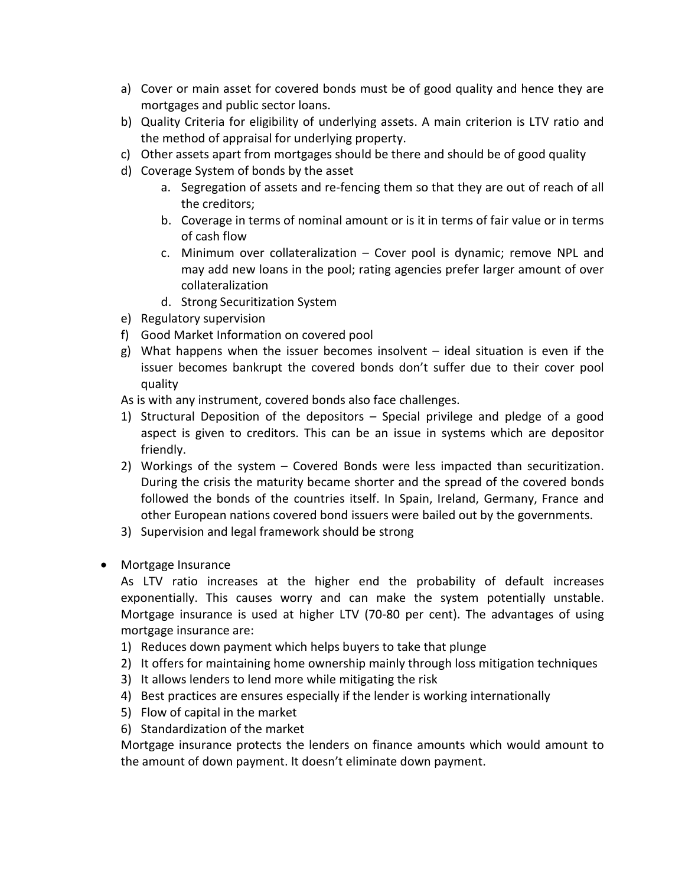- a) Cover or main asset for covered bonds must be of good quality and hence they are mortgages and public sector loans.
- b) Quality Criteria for eligibility of underlying assets. A main criterion is LTV ratio and the method of appraisal for underlying property.
- c) Other assets apart from mortgages should be there and should be of good quality
- d) Coverage System of bonds by the asset
	- a. Segregation of assets and re-fencing them so that they are out of reach of all the creditors;
	- b. Coverage in terms of nominal amount or is it in terms of fair value or in terms of cash flow
	- c. Minimum over collateralization Cover pool is dynamic; remove NPL and may add new loans in the pool; rating agencies prefer larger amount of over collateralization
	- d. Strong Securitization System
- e) Regulatory supervision
- f) Good Market Information on covered pool
- g) What happens when the issuer becomes insolvent ideal situation is even if the issuer becomes bankrupt the covered bonds don't suffer due to their cover pool quality

As is with any instrument, covered bonds also face challenges.

- 1) Structural Deposition of the depositors Special privilege and pledge of a good aspect is given to creditors. This can be an issue in systems which are depositor friendly.
- 2) Workings of the system Covered Bonds were less impacted than securitization. During the crisis the maturity became shorter and the spread of the covered bonds followed the bonds of the countries itself. In Spain, Ireland, Germany, France and other European nations covered bond issuers were bailed out by the governments.
- 3) Supervision and legal framework should be strong
- Mortgage Insurance

As LTV ratio increases at the higher end the probability of default increases exponentially. This causes worry and can make the system potentially unstable. Mortgage insurance is used at higher LTV (70-80 per cent). The advantages of using mortgage insurance are:

- 1) Reduces down payment which helps buyers to take that plunge
- 2) It offers for maintaining home ownership mainly through loss mitigation techniques
- 3) It allows lenders to lend more while mitigating the risk
- 4) Best practices are ensures especially if the lender is working internationally
- 5) Flow of capital in the market
- 6) Standardization of the market

Mortgage insurance protects the lenders on finance amounts which would amount to the amount of down payment. It doesn't eliminate down payment.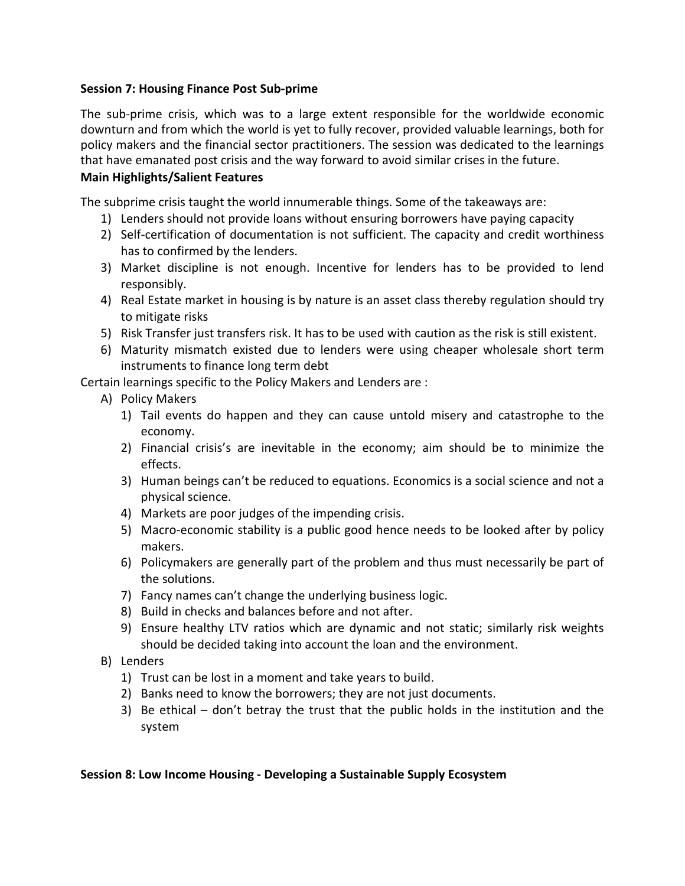### **Session 7: Housing Finance Post Sub-prime**

The sub-prime crisis, which was to a large extent responsible for the worldwide economic downturn and from which the world is yet to fully recover, provided valuable learnings, both for policy makers and the financial sector practitioners. The session was dedicated to the learnings that have emanated post crisis and the way forward to avoid similar crises in the future.

### **Main Highlights/Salient Features**

The subprime crisis taught the world innumerable things. Some of the takeaways are:

- 1) Lenders should not provide loans without ensuring borrowers have paying capacity
- 2) Self-certification of documentation is not sufficient. The capacity and credit worthiness has to confirmed by the lenders.
- 3) Market discipline is not enough. Incentive for lenders has to be provided to lend responsibly.
- 4) Real Estate market in housing is by nature is an asset class thereby regulation should try to mitigate risks
- 5) Risk Transfer just transfers risk. It has to be used with caution as the risk is still existent.
- 6) Maturity mismatch existed due to lenders were using cheaper wholesale short term instruments to finance long term debt

Certain learnings specific to the Policy Makers and Lenders are :

- A) Policy Makers
	- 1) Tail events do happen and they can cause untold misery and catastrophe to the economy.
	- 2) Financial crisis's are inevitable in the economy; aim should be to minimize the effects.
	- 3) Human beings can't be reduced to equations. Economics is a social science and not a physical science.
	- 4) Markets are poor judges of the impending crisis.
	- 5) Macro-economic stability is a public good hence needs to be looked after by policy makers.
	- 6) Policymakers are generally part of the problem and thus must necessarily be part of the solutions.
	- 7) Fancy names can't change the underlying business logic.
	- 8) Build in checks and balances before and not after.
	- 9) Ensure healthy LTV ratios which are dynamic and not static; similarly risk weights should be decided taking into account the loan and the environment.
- B) Lenders
	- 1) Trust can be lost in a moment and take years to build.
	- 2) Banks need to know the borrowers; they are not just documents.
	- 3) Be ethical don't betray the trust that the public holds in the institution and the system

### **Session 8: Low Income Housing - Developing a Sustainable Supply Ecosystem**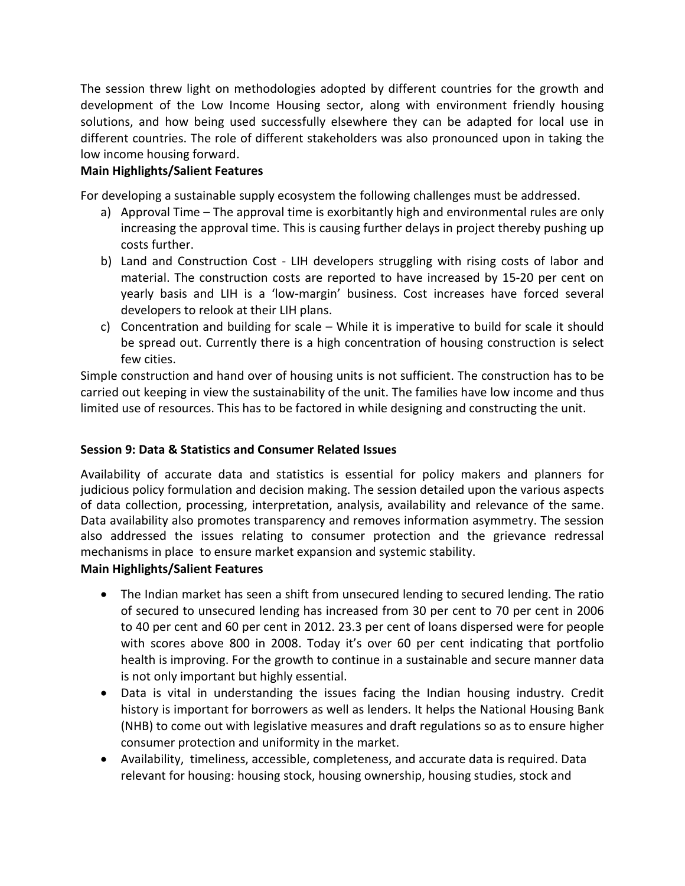The session threw light on methodologies adopted by different countries for the growth and development of the Low Income Housing sector, along with environment friendly housing solutions, and how being used successfully elsewhere they can be adapted for local use in different countries. The role of different stakeholders was also pronounced upon in taking the low income housing forward.

# **Main Highlights/Salient Features**

For developing a sustainable supply ecosystem the following challenges must be addressed.

- a) Approval Time The approval time is exorbitantly high and environmental rules are only increasing the approval time. This is causing further delays in project thereby pushing up costs further.
- b) Land and Construction Cost LIH developers struggling with rising costs of labor and material. The construction costs are reported to have increased by 15-20 per cent on yearly basis and LIH is a 'low-margin' business. Cost increases have forced several developers to relook at their LIH plans.
- c) Concentration and building for scale While it is imperative to build for scale it should be spread out. Currently there is a high concentration of housing construction is select few cities.

Simple construction and hand over of housing units is not sufficient. The construction has to be carried out keeping in view the sustainability of the unit. The families have low income and thus limited use of resources. This has to be factored in while designing and constructing the unit.

# **Session 9: Data & Statistics and Consumer Related Issues**

Availability of accurate data and statistics is essential for policy makers and planners for judicious policy formulation and decision making. The session detailed upon the various aspects of data collection, processing, interpretation, analysis, availability and relevance of the same. Data availability also promotes transparency and removes information asymmetry. The session also addressed the issues relating to consumer protection and the grievance redressal mechanisms in place to ensure market expansion and systemic stability.

# **Main Highlights/Salient Features**

- The Indian market has seen a shift from unsecured lending to secured lending. The ratio of secured to unsecured lending has increased from 30 per cent to 70 per cent in 2006 to 40 per cent and 60 per cent in 2012. 23.3 per cent of loans dispersed were for people with scores above 800 in 2008. Today it's over 60 per cent indicating that portfolio health is improving. For the growth to continue in a sustainable and secure manner data is not only important but highly essential.
- Data is vital in understanding the issues facing the Indian housing industry. Credit history is important for borrowers as well as lenders. It helps the National Housing Bank (NHB) to come out with legislative measures and draft regulations so as to ensure higher consumer protection and uniformity in the market.
- Availability, timeliness, accessible, completeness, and accurate data is required. Data relevant for housing: housing stock, housing ownership, housing studies, stock and